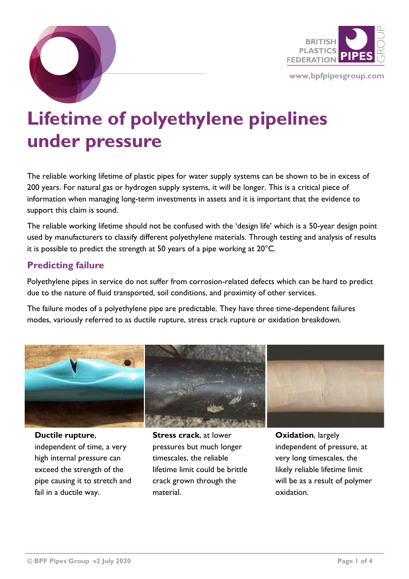

**www.bpfpipesgroup.com**



The reliable working lifetime of plastic pipes for water supply systems can be shown to be in excess of 200 years. For natural gas or hydrogen supply systems, it will be longer. This is a critical piece of information when managing long-term investments in assets and it is important that the evidence to support this claim is sound.

The reliable working lifetime should not be confused with the 'design life' which is a 50-year design point used by manufacturers to classify different polyethylene materials. Through testing and analysis of results it is possible to predict the strength at 50 years of a pipe working at 20°C.

## **Predicting failure**

Polyethylene pipes in service do not suffer from corrosion-related defects which can be hard to predict due to the nature of fluid transported, soil conditions, and proximity of other services.

The failure modes of a polyethylene pipe are predictable. They have three time-dependent failures modes, variously referred to as ductile rupture, stress crack rupture or oxidation breakdown.



**Ductile rupture**, independent of time, a very high internal pressure can exceed the strength of the pipe causing it to stretch and fail in a ductile way.

**Stress crack**, at lower pressures but much longer timescales, the reliable lifetime limit could be brittle crack grown through the material.

**Oxidation**, largely independent of pressure, at very long timescales, the likely reliable lifetime limit will be as a result of polymer oxidation.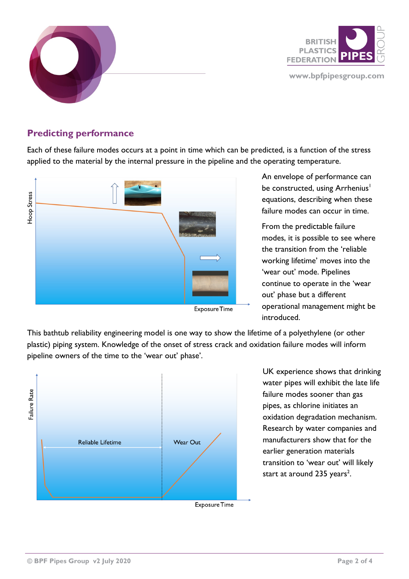

## **Predicting performance**

Each of these failure modes occurs at a point in time which can be predicted, is a function of the stress applied to the material by the internal pressure in the pipeline and the operating temperature.



**Exposure Time** 

An envelope of performance can be constructed, using Arrhenius<sup>1</sup> equations, describing when these failure modes can occur in time.

From the predictable failure modes, it is possible to see where the transition from the 'reliable working lifetime' moves into the 'wear out' mode. Pipelines continue to operate in the 'wear out' phase but a different operational management might be introduced.

This bathtub reliability engineering model is one way to show the lifetime of a polyethylene (or other plastic) piping system. Knowledge of the onset of stress crack and oxidation failure modes will inform pipeline owners of the time to the 'wear out' phase'.



UK experience shows that drinking water pipes will exhibit the late life failure modes sooner than gas pipes, as chlorine initiates an oxidation degradation mechanism. Research by water companies and manufacturers show that for the earlier generation materials transition to 'wear out' will likely start at around  $235$  years<sup>2</sup>.

**Exposure Time**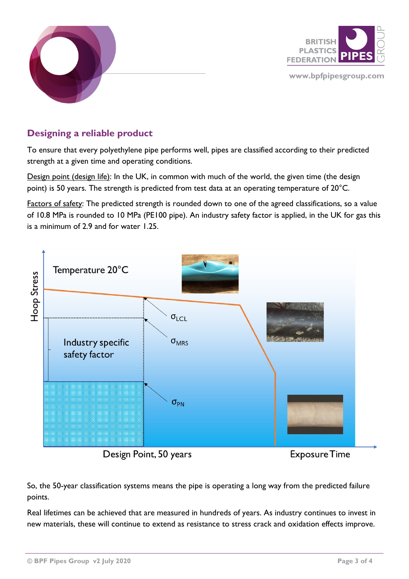



## **Designing a reliable product**

To ensure that every polyethylene pipe performs well, pipes are classified according to their predicted strength at a given time and operating conditions.

Design point (design life): In the UK, in common with much of the world, the given time (the design point) is 50 years. The strength is predicted from test data at an operating temperature of 20°C.

Factors of safety: The predicted strength is rounded down to one of the agreed classifications, so a value of 10.8 MPa is rounded to 10 MPa (PE100 pipe). An industry safety factor is applied, in the UK for gas this is a minimum of  $2.9$  and for water  $1.25$ .



Design Point, 50 years

**Exposure Time** 

So, the 50-year classification systems means the pipe is operating a long way from the predicted failure points.

Real lifetimes can be achieved that are measured in hundreds of years. As industry continues to invest in new materials, these will continue to extend as resistance to stress crack and oxidation effects improve.